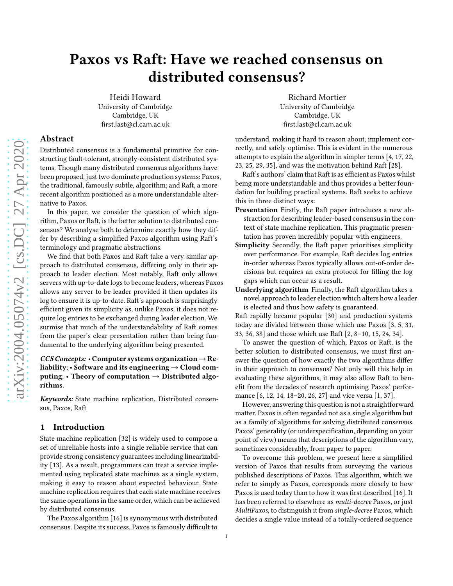# Paxos vs Raft: Have we reached consensus on distributed consensus?

Heidi Howard University of Cambridge Cambridge, UK first.last@cl.cam.ac.uk

### Abstract

Distributed consensus is a fundamental primitive for constructing fault-tolerant, strongly-consistent distributed systems. Though many distributed consensus algorithms have been proposed, just two dominate production systems: Paxos, the traditional, famously subtle, algorithm; and Raft, a more recent algorithm positioned as a more understandable alternative to Paxos.

In this paper, we consider the question of which algorithm, Paxos or Raft, is the better solution to distributed consensus? We analyse both to determine exactly how they differ by describing a simplified Paxos algorithm using Raft's terminology and pragmatic abstractions.

We find that both Paxos and Raft take a very similar approach to distributed consensus, differing only in their approach to leader election. Most notably, Raft only allows servers with up-to-date logs to become leaders, whereas Paxos allows any server to be leader provided it then updates its log to ensure it is up-to-date. Raft's approach is surprisingly efficient given its simplicity as, unlike Paxos, it does not require log entries to be exchanged during leader election. We surmise that much of the understandability of Raft comes from the paper's clear presentation rather than being fundamental to the underlying algorithm being presented.

### CCS Concepts: • Computer systems organization  $\rightarrow$  Reliability;  $\cdot$  Software and its engineering  $\rightarrow$  Cloud computing; • Theory of computation  $\rightarrow$  Distributed algorithms.

Keywords: State machine replication, Distributed consensus, Paxos, Raft

### 1 Introduction

State machine replication [\[32](#page-5-0)] is widely used to compose a set of unreliable hosts into a single reliable service that can provide strong consistency guarantees including linearizability [\[13](#page-5-1)]. As a result, programmers can treat a service implemented using replicated state machines as a single system, making it easy to reason about expected behaviour. State machine replication requires that each state machine receives the same operations in the same order, which can be achieved by distributed consensus.

The Paxos algorithm [\[16\]](#page-5-2) is synonymous with distributed consensus. Despite its success, Paxos is famously difficult to

Richard Mortier University of Cambridge Cambridge, UK first.last@cl.cam.ac.uk

understand, making it hard to reason about, implement correctly, and safely optimise. This is evident in the numerous attempts to explain the algorithm in simpler terms [\[4,](#page-4-0) [17](#page-5-3), [22,](#page-5-4) [23](#page-5-5), [25](#page-5-6), [29](#page-5-7), [35](#page-5-8)], and was the motivation behind Raft [\[28\]](#page-5-9).

Raft's authors' claim that Raft is as efficient as Paxos whilst being more understandable and thus provides a better foundation for building practical systems. Raft seeks to achieve this in three distinct ways:

- Presentation Firstly, the Raft paper introduces a new abstraction for describing leader-based consensus in the context of state machine replication. This pragmatic presentation has proven incredibly popular with engineers.
- Simplicity Secondly, the Raft paper prioritises simplicity over performance. For example, Raft decides log entries in-order whereas Paxos typically allows out-of-order decisions but requires an extra protocol for filling the log gaps which can occur as a result.

Underlying algorithm Finally, the Raft algorithm takes a novel approach to leader election which alters how a leader is elected and thus how safety is guaranteed.

Raft rapidly became popular [\[30](#page-5-10)] and production systems today are divided between those which use Paxos [\[3](#page-4-1), [5,](#page-5-11) [31,](#page-5-12) [33](#page-5-13), [36](#page-5-14), [38](#page-5-15)] and those which use Raft [\[2](#page-4-2), [8](#page-5-16)[–10](#page-5-17), [15](#page-5-18), [24,](#page-5-19) [34\]](#page-5-20).

To answer the question of which, Paxos or Raft, is the better solution to distributed consensus, we must first answer the question of how exactly the two algorithms differ in their approach to consensus? Not only will this help in evaluating these algorithms, it may also allow Raft to benefit from the decades of research optimising Paxos' performance [\[6](#page-5-21), [12](#page-5-22), [14](#page-5-23), [18](#page-5-24)[–20,](#page-5-25) [26,](#page-5-26) [27\]](#page-5-27) and vice versa [\[1](#page-4-3), [37](#page-5-28)].

However, answering this question is not a straightforward matter. Paxos is often regarded not as a single algorithm but as a family of algorithms for solving distributed consensus. Paxos' generality (or underspecification, depending on your point of view) means that descriptions of the algorithm vary, sometimes considerably, from paper to paper.

To overcome this problem, we present here a simplified version of Paxos that results from surveying the various published descriptions of Paxos. This algorithm, which we refer to simply as Paxos, corresponds more closely to how Paxos is used today than to how it was first described [\[16](#page-5-2)]. It has been referred to elsewhere as multi-decree Paxos, or just MultiPaxos, to distinguish it from single-decree Paxos, which decides a single value instead of a totally-ordered sequence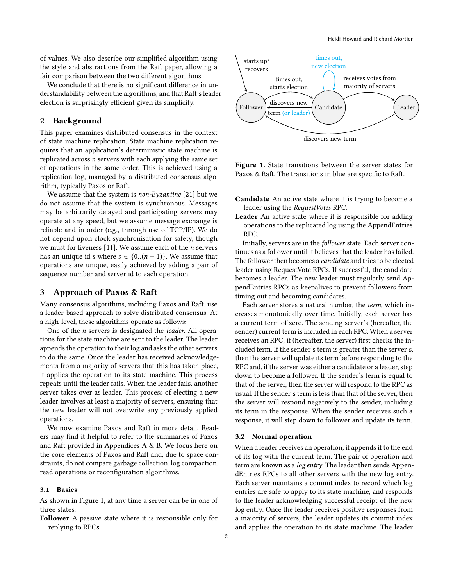of values. We also describe our simplified algorithm using the style and abstractions from the Raft paper, allowing a fair comparison between the two different algorithms.

We conclude that there is no significant difference in understandability between the algorithms, and that Raft's leader election is surprisingly efficient given its simplicity.

### 2 Background

This paper examines distributed consensus in the context of state machine replication. State machine replication requires that an application's deterministic state machine is replicated across n servers with each applying the same set of operations in the same order. This is achieved using a replication log, managed by a distributed consensus algorithm, typically Paxos or Raft.

We assume that the system is non-Byzantine [\[21](#page-5-29)] but we do not assume that the system is synchronous. Messages may be arbitrarily delayed and participating servers may operate at any speed, but we assume message exchange is reliable and in-order (e.g., through use of TCP/IP). We do not depend upon clock synchronisation for safety, though we must for liveness  $[11]$ . We assume each of the *n* servers has an unique id s where  $s \in \{0..(n-1)\}\)$ . We assume that operations are unique, easily achieved by adding a pair of sequence number and server id to each operation.

### 3 Approach of Paxos & Raft

Many consensus algorithms, including Paxos and Raft, use a leader-based approach to solve distributed consensus. At a high-level, these algorithms operate as follows:

One of the n servers is designated the leader. All operations for the state machine are sent to the leader. The leader appends the operation to their log and asks the other servers to do the same. Once the leader has received acknowledgements from a majority of servers that this has taken place, it applies the operation to its state machine. This process repeats until the leader fails. When the leader fails, another server takes over as leader. This process of electing a new leader involves at least a majority of servers, ensuring that the new leader will not overwrite any previously applied operations.

We now examine Paxos and Raft in more detail. Readers may find it helpful to refer to the summaries of Paxos and Raft provided in Appendices [A](#page-6-0) & [B.](#page-7-0) We focus here on the core elements of Paxos and Raft and, due to space constraints, do not compare garbage collection, log compaction, read operations or reconfiguration algorithms.

#### 3.1 Basics

As shown in Figure [1,](#page-1-0) at any time a server can be in one of three states:

Follower A passive state where it is responsible only for replying to RPCs.

<span id="page-1-0"></span>

Figure 1. State transitions between the server states for Paxos & Raft. The transitions in blue are specific to Raft.

- Candidate An active state where it is trying to become a leader using the RequestVotes RPC.
- Leader An active state where it is responsible for adding operations to the replicated log using the AppendEntries RPC.

Initially, servers are in the follower state. Each server continues as a follower until it believes that the leader has failed. The follower then becomes a candidate and tries to be elected leader using RequestVote RPCs. If successful, the candidate becomes a leader. The new leader must regularly send AppendEntries RPCs as keepalives to prevent followers from timing out and becoming candidates.

Each server stores a natural number, the term, which increases monotonically over time. Initially, each server has a current term of zero. The sending server's (hereafter, the sender) current term is included in each RPC. When a server receives an RPC, it (hereafter, the server) first checks the included term. If the sender's term is greater than the server's, then the server will update its term before responding to the RPC and, if the server was either a candidate or a leader, step down to become a follower. If the sender's term is equal to that of the server, then the server will respond to the RPC as usual. If the sender's term is less than that of the server, then the server will respond negatively to the sender, including its term in the response. When the sender receives such a response, it will step down to follower and update its term.

#### 3.2 Normal operation

When a leader receives an operation, it appends it to the end of its log with the current term. The pair of operation and term are known as a log entry. The leader then sends AppendEntries RPCs to all other servers with the new log entry. Each server maintains a commit index to record which log entries are safe to apply to its state machine, and responds to the leader acknowledging successful receipt of the new log entry. Once the leader receives positive responses from a majority of servers, the leader updates its commit index and applies the operation to its state machine. The leader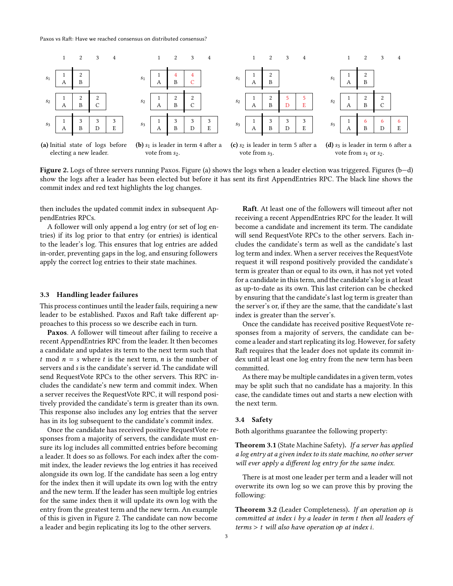<span id="page-2-0"></span>

Figure 2. Logs of three servers running Paxos. Figure [\(a\)](#page-2-0) shows the logs when a leader election was triggered. Figures [\(b—d\)](#page-2-0) show the logs after a leader has been elected but before it has sent its first AppendEntries RPC. The black line shows the commit index and red text highlights the log changes.

then includes the updated commit index in subsequent AppendEntries RPCs.

A follower will only append a log entry (or set of log entries) if its log prior to that entry (or entries) is identical to the leader's log. This ensures that log entries are added in-order, preventing gaps in the log, and ensuring followers apply the correct log entries to their state machines.

#### 3.3 Handling leader failures

This process continues until the leader fails, requiring a new leader to be established. Paxos and Raft take different approaches to this process so we describe each in turn.

Paxos. A follower will timeout after failing to receive a recent AppendEntries RPC from the leader. It then becomes a candidate and updates its term to the next term such that t mod  $n = s$  where t is the next term, n is the number of servers and s is the candidate's server id. The candidate will send RequestVote RPCs to the other servers. This RPC includes the candidate's new term and commit index. When a server receives the RequestVote RPC, it will respond positively provided the candidate's term is greater than its own. This response also includes any log entries that the server has in its log subsequent to the candidate's commit index.

Once the candidate has received positive RequestVote responses from a majority of servers, the candidate must ensure its log includes all committed entries before becoming a leader. It does so as follows. For each index after the commit index, the leader reviews the log entries it has received alongside its own log. If the candidate has seen a log entry for the index then it will update its own log with the entry and the new term. If the leader has seen multiple log entries for the same index then it will update its own log with the entry from the greatest term and the new term. An example of this is given in Figure [2.](#page-2-0) The candidate can now become a leader and begin replicating its log to the other servers.

Raft. At least one of the followers will timeout after not receiving a recent AppendEntries RPC for the leader. It will become a candidate and increment its term. The candidate will send RequestVote RPCs to the other servers. Each includes the candidate's term as well as the candidate's last log term and index. When a server receives the RequestVote request it will respond positively provided the candidate's term is greater than or equal to its own, it has not yet voted for a candidate in this term, and the candidate's log is at least as up-to-date as its own. This last criterion can be checked by ensuring that the candidate's last log term is greater than the server's or, if they are the same, that the candidate's last index is greater than the server's.

Once the candidate has received positive RequestVote responses from a majority of servers, the candidate can become a leader and start replicating its log. However, for safety Raft requires that the leader does not update its commit index until at least one log entry from the new term has been committed.

As there may be multiple candidates in a given term, votes may be split such that no candidate has a majority. In this case, the candidate times out and starts a new election with the next term.

### 3.4 Safety

Both algorithms guarantee the following property:

Theorem 3.1 (State Machine Safety). If a server has applied a log entry at a given index to its state machine, no other server will ever apply a different log entry for the same index.

There is at most one leader per term and a leader will not overwrite its own log so we can prove this by proving the following:

Theorem 3.2 (Leader Completeness). If an operation op is committed at index i by a leader in term t then all leaders of  $terms > t$  will also have operation op at index i.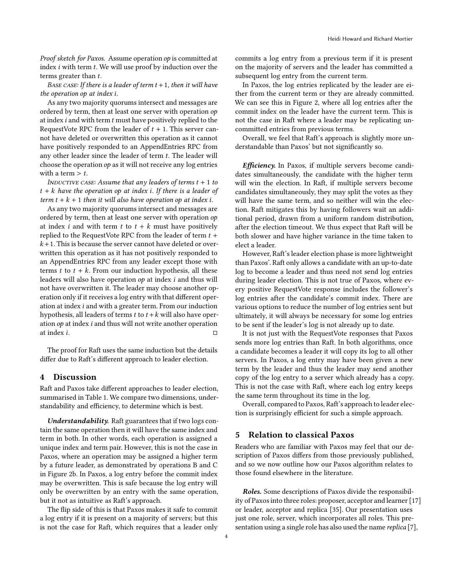Proof sketch for Paxos. Assume operation op is committed at index i with term t. We will use proof by induction over the terms greater than t.

BASE CASE: If there is a leader of term  $t + 1$ , then it will have the operation op at index i.

As any two majority quorums intersect and messages are ordered by term, then at least one server with operation op at index  $i$  and with term  $t$  must have positively replied to the RequestVote RPC from the leader of  $t + 1$ . This server cannot have deleted or overwritten this operation as it cannot have positively responded to an AppendEntries RPC from any other leader since the leader of term t. The leader will choose the operation op as it will not receive any log entries with a term  $> t$ .

INDUCTIVE CASE: Assume that any leaders of terms  $t + 1$  to  $t + k$  have the operation op at index i. If there is a leader of term  $t + k + 1$  then it will also have operation op at index i.

As any two majority quorums intersect and messages are ordered by term, then at least one server with operation op at index *i* and with term *t* to  $t + k$  must have positively replied to the RequestVote RPC from the leader of term  $t +$  $k+1$ . This is because the server cannot have deleted or overwritten this operation as it has not positively responded to an AppendEntries RPC from any leader except those with terms  $t$  to  $t + k$ . From our induction hypothesis, all these leaders will also have operation op at index i and thus will not have overwritten it. The leader may choose another operation only if it receives a log entry with that different operation at index i and with a greater term. From our induction hypothesis, all leaders of terms t to  $t + k$  will also have operation op at index i and thus will not write another operation at index  $i$ .

The proof for Raft uses the same induction but the details differ due to Raft's different approach to leader election.

#### 4 Discussion

Raft and Paxos take different approaches to leader election, summarised in Table [1.](#page-4-4) We compare two dimensions, understandability and efficiency, to determine which is best.

Understandability. Raft guarantees that if two logs contain the same operation then it will have the same index and term in both. In other words, each operation is assigned a unique index and term pair. However, this is not the case in Paxos, where an operation may be assigned a higher term by a future leader, as demonstrated by operations B and C in Figure [2b.](#page-2-0) In Paxos, a log entry before the commit index may be overwritten. This is safe because the log entry will only be overwritten by an entry with the same operation, but it not as intuitive as Raft's approach.

The flip side of this is that Paxos makes it safe to commit a log entry if it is present on a majority of servers; but this is not the case for Raft, which requires that a leader only

commits a log entry from a previous term if it is present on the majority of servers and the leader has committed a subsequent log entry from the current term.

In Paxos, the log entries replicated by the leader are either from the current term or they are already committed. We can see this in Figure [2,](#page-2-0) where all log entries after the commit index on the leader have the current term. This is not the case in Raft where a leader may be replicating uncommitted entries from previous terms.

Overall, we feel that Raft's approach is slightly more understandable than Paxos' but not significantly so.

Efficiency. In Paxos, if multiple servers become candidates simultaneously, the candidate with the higher term will win the election. In Raft, if multiple servers become candidates simultaneously, they may split the votes as they will have the same term, and so neither will win the election. Raft mitigates this by having followers wait an additional period, drawn from a uniform random distribution, after the election timeout. We thus expect that Raft will be both slower and have higher variance in the time taken to elect a leader.

However, Raft's leader election phase is more lightweight than Paxos'. Raft only allows a candidate with an up-to-date log to become a leader and thus need not send log entries during leader election. This is not true of Paxos, where every positive RequestVote response includes the follower's log entries after the candidate's commit index. There are various options to reduce the number of log entries sent but ultimately, it will always be necessary for some log entries to be sent if the leader's log is not already up to date.

It is not just with the RequestVote responses that Paxos sends more log entries than Raft. In both algorithms, once a candidate becomes a leader it will copy its log to all other servers. In Paxos, a log entry may have been given a new term by the leader and thus the leader may send another copy of the log entry to a server which already has a copy. This is not the case with Raft, where each log entry keeps the same term throughout its time in the log.

Overall, compared to Paxos, Raft's approach to leader election is surprisingly efficient for such a simple approach.

## 5 Relation to classical Paxos

Readers who are familiar with Paxos may feel that our description of Paxos differs from those previously published, and so we now outline how our Paxos algorithm relates to those found elsewhere in the literature.

Roles. Some descriptions of Paxos divide the responsibility of Paxos into three roles: proposer, acceptor and learner [\[17\]](#page-5-3) or leader, acceptor and replica [\[35\]](#page-5-8). Our presentation uses just one role, server, which incorporates all roles. This pre-sentation using a single role has also used the name replica [\[7](#page-5-31)],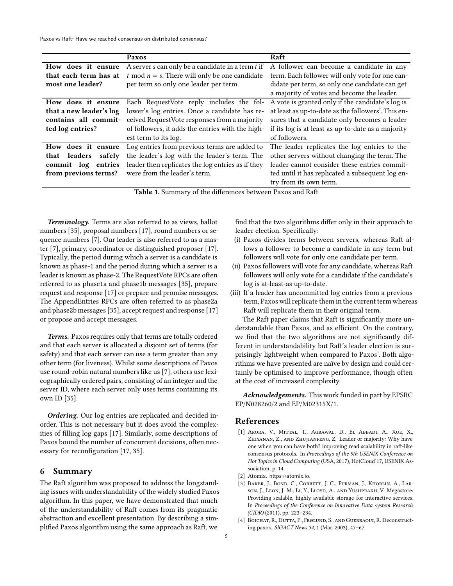<span id="page-4-4"></span>Paxos vs Raft: Have we reached consensus on distributed consensus?

|                                                                                                                                                                                                                                             | Paxos                                                 | Raft                                               |
|---------------------------------------------------------------------------------------------------------------------------------------------------------------------------------------------------------------------------------------------|-------------------------------------------------------|----------------------------------------------------|
| How does it ensure                                                                                                                                                                                                                          | A server $s$ can only be a candidate in a term $t$ if | A follower can become a candidate in any           |
| that each term has at                                                                                                                                                                                                                       | t mod $n = s$ . There will only be one candidate      | term. Each follower will only vote for one can-    |
| most one leader?                                                                                                                                                                                                                            | per term so only one leader per term.                 | didate per term, so only one candidate can get     |
|                                                                                                                                                                                                                                             |                                                       | a majority of votes and become the leader.         |
| How does it ensure                                                                                                                                                                                                                          | Each RequestVote reply includes the fol-              | A vote is granted only if the candidate's log is   |
| that a new leader's log                                                                                                                                                                                                                     | lower's log entries. Once a candidate has re-         | at least as up-to-date as the followers'. This en- |
| contains all commit-                                                                                                                                                                                                                        | ceived RequestVote responses from a majority          | sures that a candidate only becomes a leader       |
| ted log entries?                                                                                                                                                                                                                            | of followers, it adds the entries with the high-      | if its log is at least as up-to-date as a majority |
|                                                                                                                                                                                                                                             | est term to its log.                                  | of followers.                                      |
| How does it ensure                                                                                                                                                                                                                          | Log entries from previous terms are added to          | The leader replicates the log entries to the       |
| that leaders<br>safely                                                                                                                                                                                                                      | the leader's log with the leader's term. The          | other servers without changing the term. The       |
| commit log entries                                                                                                                                                                                                                          | leader then replicates the log entries as if they     | leader cannot consider these entries commit-       |
| from previous terms?                                                                                                                                                                                                                        | were from the leader's term.                          | ted until it has replicated a subsequent log en-   |
|                                                                                                                                                                                                                                             |                                                       | try from its own term.                             |
| $T-11-1$ $C_{1}$ , $C_{11}$ $C_{21}$ $C_{31}$ $C_{41}$ $C_{51}$ $C_{62}$ , $C_{7}$ $C_{8}$ , $C_{9}$ $C_{10}$ $C_{11}$ $C_{12}$ $C_{13}$ $C_{14}$ $C_{15}$ $C_{16}$ $C_{17}$ $C_{18}$ $C_{19}$ $C_{10}$ $C_{11}$ $C_{12}$ $C_{13}$ $C_{14}$ |                                                       |                                                    |

Table 1. Summary of the differences between Paxos and Raft

Terminology. Terms are also referred to as views, ballot numbers [\[35\]](#page-5-8), proposal numbers [\[17\]](#page-5-3), round numbers or sequence numbers [\[7\]](#page-5-31). Our leader is also referred to as a master [\[7\]](#page-5-31), primary, coordinator or distinguished proposer [\[17\]](#page-5-3). Typically, the period during which a server is a candidate is known as phase-1 and the period during which a server is a leader is known as phase-2. The RequestVote RPCs are often referred to as phase1a and phase1b messages [\[35\]](#page-5-8), prepare request and response [\[17\]](#page-5-3) or prepare and promise messages. The AppendEntries RPCs are often referred to as phase2a and phase2b messages [\[35\]](#page-5-8), accept request and response [\[17](#page-5-3)] or propose and accept messages.

Terms. Paxos requires only that terms are totally ordered and that each server is allocated a disjoint set of terms (for safety) and that each server can use a term greater than any other term (for liveness). Whilst some descriptions of Paxos use round-robin natural numbers like us [\[7\]](#page-5-31), others use lexicographically ordered pairs, consisting of an integer and the server ID, where each server only uses terms containing its own ID [\[35\]](#page-5-8).

Ordering. Our log entries are replicated and decided inorder. This is not necessary but it does avoid the complexities of filling log gaps [\[17\]](#page-5-3). Similarly, some descriptions of Paxos bound the number of concurrent decisions, often necessary for reconfiguration [\[17](#page-5-3), [35\]](#page-5-8).

### 6 Summary

The Raft algorithm was proposed to address the longstanding issues with understandability of the widely studied Paxos algorithm. In this paper, we have demonstrated that much of the understandability of Raft comes from its pragmatic abstraction and excellent presentation. By describing a simplified Paxos algorithm using the same approach as Raft, we

find that the two algorithms differ only in their approach to leader election. Specifically:

- (i) Paxos divides terms between servers, whereas Raft allows a follower to become a candidate in any term but followers will vote for only one candidate per term.
- (ii) Paxos followers will vote for any candidate, whereas Raft followers will only vote for a candidate if the candidate's log is at-least-as up-to-date.
- (iii) If a leader has uncommitted log entries from a previous term, Paxos will replicate them in the current term whereas Raft will replicate them in their original term.

The Raft paper claims that Raft is significantly more understandable than Paxos, and as efficient. On the contrary, we find that the two algorithms are not significantly different in understandability but Raft's leader election is surprisingly lightweight when compared to Paxos'. Both algorithms we have presented are naïve by design and could certainly be optimised to improve performance, though often at the cost of increased complexity.

Acknowledgements. This work funded in part by EPSRC EP/N028260/2 and EP/M02315X/1.

### References

- <span id="page-4-3"></span>[1] Arora, V., Mittal, T., Agrawal, D., El Abbadi, A., Xue, X., Zhiyanan, Z., and Zhujianfeng, Z. Leader or majority: Why have one when you can have both? improving read scalability in raft-like consensus protocols. In Proceedings of the 9th USENIX Conference on Hot Topics in Cloud Computing (USA, 2017), HotCloud'17, USENIX Association, p. 14.
- <span id="page-4-2"></span>[2] Atomix. https://atomix.io.
- <span id="page-4-1"></span>[3] BAKER, J., BOND, C., CORBETT, J. C., FURMAN, J., KHORLIN, A., LARson, J., Leon, J.-M., Li, Y., Lloyd, A., and Yushprakh, V. Megastore: Providing scalable, highly available storage for interactive services. In Proceedings of the Conference on Innovative Data system Research (CIDR) (2011), pp. 223–234.
- <span id="page-4-0"></span>[4] BOICHAT, R., DUTTA, P., FRØLUND, S., AND GUERRAOUI, R. Deconstructing paxos. SIGACT News 34, 1 (Mar. 2003), 47–67.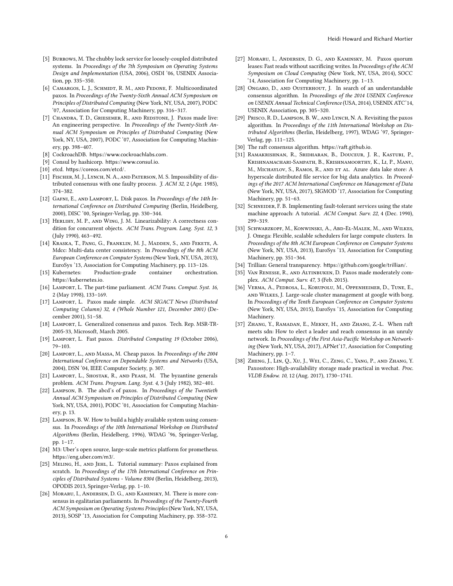- <span id="page-5-11"></span>[5] BURROWS, M. The chubby lock service for loosely-coupled distributed systems. In Proceedings of the 7th Symposium on Operating Systems Design and Implementation (USA, 2006), OSDI '06, USENIX Association, pp. 335–350.
- <span id="page-5-21"></span>[6] CAMARGOS, L. J., SCHMIDT, R. M., AND PEDONE, F. Multicoordinated paxos. In Proceedings of the Twenty-Sixth Annual ACM Symposium on Principles of Distributed Computing (New York, NY, USA, 2007), PODC '07, Association for Computing Machinery, pp. 316–317.
- <span id="page-5-31"></span>[7] Chandra, T. D., Griesemer, R., and Redstone, J. Paxos made live: An engineering perspective. In Proceedings of the Twenty-Sixth Annual ACM Symposium on Principles of Distributed Computing (New York, NY, USA, 2007), PODC '07, Association for Computing Machinery, pp. 398–407.
- <span id="page-5-16"></span>[8] CockroachDB. https://www.cockroachlabs.com.
- [9] Consul by hashicorp. https://www.consul.io.
- <span id="page-5-17"></span>[10] etcd. https://coreos.com/etcd/.
- <span id="page-5-30"></span>[11] FISCHER, M. J., LYNCH, N. A., AND PATERSON, M. S. Impossibility of distributed consensus with one faulty process. J. ACM 32, 2 (Apr. 1985), 374–382.
- <span id="page-5-22"></span>[12] GAFNI, E., AND LAMPORT, L. Disk paxos. In Proceedings of the 14th International Conference on Distributed Computing (Berlin, Heidelberg, 2000), DISC '00, Springer-Verlag, pp. 330–344.
- <span id="page-5-1"></span>[13] HERLIHY, M. P., AND WING, J. M. Linearizability: A correctness condition for concurrent objects. ACM Trans. Program. Lang. Syst. 12, 3 (July 1990), 463–492.
- <span id="page-5-23"></span>[14] Kraska, T., Pang, G., Franklin, M. J., Madden, S., and Fekete, A. Mdcc: Multi-data center consistency. In Proceedings of the 8th ACM European Conference on Computer Systems (New York, NY, USA, 2013), EuroSys '13, Association for Computing Machinery, pp. 113–126.
- <span id="page-5-18"></span>[15] Kubernetes: Production-grade container orchestration. https://kubernetes.io.
- <span id="page-5-2"></span>[16] LAMPORT, L. The part-time parliament. ACM Trans. Comput. Syst. 16, 2 (May 1998), 133–169.
- <span id="page-5-3"></span>[17] LAMPORT, L. Paxos made simple. ACM SIGACT News (Distributed Computing Column) 32, 4 (Whole Number 121, December 2001) (December 2001), 51–58.
- <span id="page-5-24"></span>[18] Lamport, L. Generalized consensus and paxos. Tech. Rep. MSR-TR-2005-33, Microsoft, March 2005.
- [19] LAMPORT, L. Fast paxos. Distributed Computing 19 (October 2006), 79–103.
- <span id="page-5-25"></span>[20] Lamport, L., and Massa, M. Cheap paxos. In Proceedings of the 2004 International Conference on Dependable Systems and Networks (USA, 2004), DSN '04, IEEE Computer Society, p. 307.
- <span id="page-5-29"></span>[21] LAMPORT, L., SHOSTAK, R., AND PEASE, M. The byzantine generals problem. ACM Trans. Program. Lang. Syst. 4, 3 (July 1982), 382–401.
- <span id="page-5-4"></span>[22] Lampson, B. The abcd's of paxos. In Proceedings of the Twentieth Annual ACM Symposium on Principles of Distributed Computing (New York, NY, USA, 2001), PODC '01, Association for Computing Machinery, p. 13.
- <span id="page-5-5"></span>[23] LAMPSON, B. W. How to build a highly available system using consensus. In Proceedings of the 10th International Workshop on Distributed Algorithms (Berlin, Heidelberg, 1996), WDAG '96, Springer-Verlag, pp. 1–17.
- <span id="page-5-19"></span>[24] M3: Uber's open source, large-scale metrics platform for prometheus. https://eng.uber.com/m3/.
- <span id="page-5-6"></span>[25] Meling, H., and Jehl, L. Tutorial summary: Paxos explained from scratch. In Proceedings of the 17th International Conference on Principles of Distributed Systems - Volume 8304 (Berlin, Heidelberg, 2013), OPODIS 2013, Springer-Verlag, pp. 1–10.
- <span id="page-5-26"></span>[26] MORARU, I., ANDERSEN, D. G., AND KAMINSKY, M. There is more consensus in egalitarian parliaments. In Proceedings of the Twenty-Fourth ACM Symposium on Operating Systems Principles (New York, NY, USA, 2013), SOSP '13, Association for Computing Machinery, pp. 358–372.
- <span id="page-5-27"></span>[27] Moraru, I., Andersen, D. G., and Kaminsky, M. Paxos quorum leases: Fast reads without sacrificing writes. In Proceedings of the ACM Symposium on Cloud Computing (New York, NY, USA, 2014), SOCC '14, Association for Computing Machinery, pp. 1–13.
- <span id="page-5-9"></span>[28] ONGARO, D., AND OUSTERHOUT, J. In search of an understandable consensus algorithm. In Proceedings of the 2014 USENIX Conference on USENIX Annual Technical Conference (USA, 2014), USENIX ATC'14, USENIX Association, pp. 305–320.
- <span id="page-5-7"></span>[29] PRISCO, R. D., LAMPSON, B. W., AND LYNCH, N. A. Revisiting the paxos algorithm. In Proceedings of the 11th International Workshop on Distributed Algorithms (Berlin, Heidelberg, 1997), WDAG '97, Springer-Verlag, pp. 111–125.
- <span id="page-5-10"></span>[30] The raft consensus algorithm. https://raft.github.io.
- <span id="page-5-12"></span>[31] Ramakrishnan, R., Sridharan, B., Douceur, J. R., Kasturi, P., Krishnamachari-Sampath, B., Krishnamoorthy, K., Li, P., Manu, M., MICHAYLOV, S., RAMOS, R., AND ET AL. Azure data lake store: A hyperscale distributed file service for big data analytics. In Proceedings of the 2017 ACM International Conference on Management of Data (New York, NY, USA, 2017), SIGMOD '17, Association for Computing Machinery, pp. 51–63.
- <span id="page-5-0"></span>[32] SCHNEIDER, F. B. Implementing fault-tolerant services using the state machine approach: A tutorial. ACM Comput. Surv. 22, 4 (Dec. 1990), 299–319.
- <span id="page-5-13"></span>[33] Schwarzkopf, M., Konwinski, A., Abd-El-Malek, M., and Wilkes, J. Omega: Flexible, scalable schedulers for large compute clusters. In Proceedings of the 8th ACM European Conference on Computer Systems (New York, NY, USA, 2013), EuroSys '13, Association for Computing Machinery, pp. 351–364.
- <span id="page-5-20"></span>[34] Trillian: General transparency. https://github.com/google/trillian/.
- <span id="page-5-8"></span>[35] VAN RENESSE, R., AND ALTINBUKEN, D. Paxos made moderately complex. ACM Comput. Surv. 47, 3 (Feb. 2015).
- <span id="page-5-14"></span>[36] Verma, A., Pedrosa, L., Korupolu, M., Oppenheimer, D., Tune, E., and Wilkes, J. Large-scale cluster management at google with borg. In Proceedings of the Tenth European Conference on Computer Systems (New York, NY, USA, 2015), EuroSys '15, Association for Computing Machinery.
- <span id="page-5-28"></span>[37] Zhang, Y., Ramadan, E., Mekky, H., and Zhang, Z.-L. When raft meets sdn: How to elect a leader and reach consensus in an unruly network. In Proceedings of the First Asia-Pacific Workshop on Networking (New York, NY, USA, 2017), APNet'17, Association for Computing Machinery, pp. 1–7.
- <span id="page-5-15"></span>[38] Zheng, J., Lin, Q., Xu, J., Wei, C., Zeng, C., Yang, P., and Zhang, Y. Paxosstore: High-availability storage made practical in wechat. Proc. VLDB Endow. 10, 12 (Aug. 2017), 1730–1741.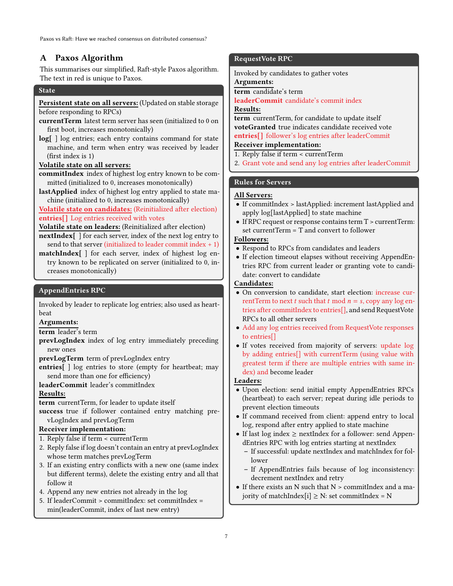# <span id="page-6-0"></span>A Paxos Algorithm

This summarises our simplified, Raft-style Paxos algorithm. The text in red is unique to Paxos.

### **State**

### Persistent state on all servers: (Updated on stable storage before responding to RPCs)

- currentTerm latest term server has seen (initialized to 0 on first boot, increases monotonically)
- log[ ] log entries; each entry contains command for state machine, and term when entry was received by leader (first index is 1)

### Volatile state on all servers:

- commitIndex index of highest log entry known to be committed (initialized to 0, increases monotonically)
- lastApplied index of highest log entry applied to state machine (initialized to 0, increases monotonically)

### Volatile state on candidates: (Reinitialized after election) entries[] Log entries received with votes

Volatile state on leaders: (Reinitialized after election)

- nextIndex[ ] for each server, index of the next log entry to send to that server (initialized to leader commit index  $+1$ )
- matchIndex[ ] for each server, index of highest log entry known to be replicated on server (initialized to 0, increases monotonically)

### AppendEntries RPC

Invoked by leader to replicate log entries; also used as heartbeat

### Arguments:

term leader's term

prevLogIndex index of log entry immediately preceding new ones

prevLogTerm term of prevLogIndex entry

entries[ ] log entries to store (empty for heartbeat; may send more than one for efficiency)

leaderCommit leader's commitIndex

### Results:

term currentTerm, for leader to update itself

success true if follower contained entry matching prevLogIndex and prevLogTerm

### Receiver implementation:

- 1. Reply false if term < currentTerm
- 2. Reply false if log doesn't contain an entry at prevLogIndex whose term matches prevLogTerm
- 3. If an existing entry conflicts with a new one (same index but different terms), delete the existing entry and all that follow it
- 4. Append any new entries not already in the log
- 5. If leaderCommit > commitIndex: set commitIndex = min(leaderCommit, index of last new entry)

### RequestVote RPC

Invoked by candidates to gather votes

Arguments:

term candidate's term

# leaderCommit candidate's commit index

Results:

term currentTerm, for candidate to update itself voteGranted true indicates candidate received vote entries[] follower's log entries after leaderCommit

# Receiver implementation:

- 1. Reply false if term < currentTerm
- 2. Grant vote and send any log entries after leaderCommit

### Rules for Servers

### All Servers:

- If commitIndex > lastApplied: increment lastApplied and apply log[lastApplied] to state machine
- If RPC request or response contains term T > currentTerm: set currentTerm = T and convert to follower

# Followers:

- Respond to RPCs from candidates and leaders
- If election timeout elapses without receiving AppendEntries RPC from current leader or granting vote to candidate: convert to candidate

# Candidates:

- On conversion to candidate, start election: increase currentTerm to next t such that t mod  $n = s$ , copy any log entries after commitIndex to entries[], and send RequestVote RPCs to all other servers
- Add any log entries received from RequestVote responses to entries[]
- If votes received from majority of servers: update log by adding entries[] with currentTerm (using value with greatest term if there are multiple entries with same index) and become leader

### Leaders:

- Upon election: send initial empty AppendEntries RPCs (heartbeat) to each server; repeat during idle periods to prevent election timeouts
- If command received from client: append entry to local log, respond after entry applied to state machine
- If last  $log index \geq nextIndex$  for a follower: send AppendEntries RPC with log entries starting at nextIndex
	- If successful: update nextIndex and matchIndex for follower
	- If AppendEntries fails because of log inconsistency: decrement nextIndex and retry
- If there exists an N such that  $N >$  commitIndex and a majority of matchIndex $[i] \geq N$ : set commitIndex = N